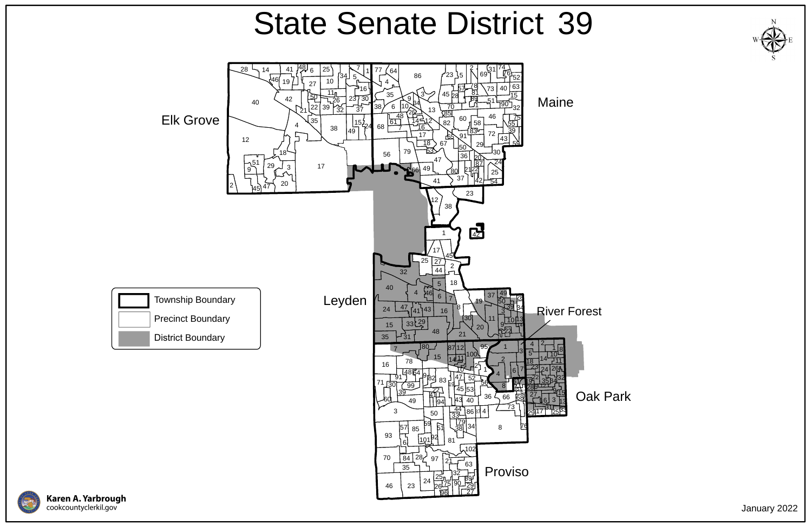Oak Park







## State Senate District 39

January 2022